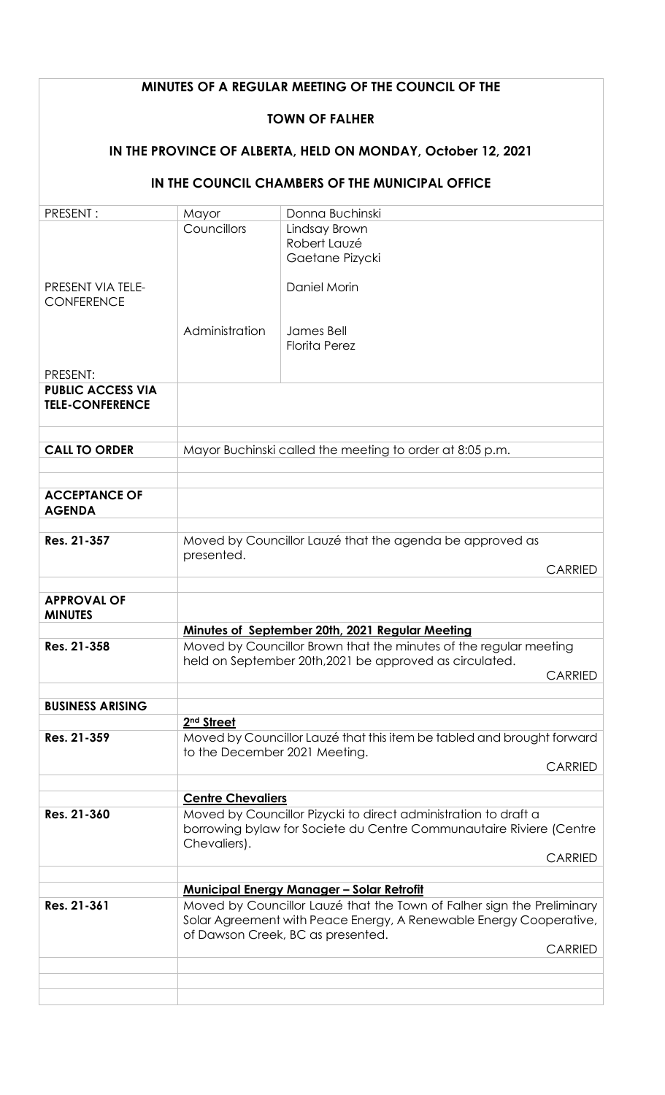| MINUTES OF A REGULAR MEETING OF THE COUNCIL OF THE             |                                                                                                                                                                                    |                                                                                                                                                                                        |                |  |
|----------------------------------------------------------------|------------------------------------------------------------------------------------------------------------------------------------------------------------------------------------|----------------------------------------------------------------------------------------------------------------------------------------------------------------------------------------|----------------|--|
| <b>TOWN OF FALHER</b>                                          |                                                                                                                                                                                    |                                                                                                                                                                                        |                |  |
| IN THE PROVINCE OF ALBERTA, HELD ON MONDAY, October 12, 2021   |                                                                                                                                                                                    |                                                                                                                                                                                        |                |  |
| IN THE COUNCIL CHAMBERS OF THE MUNICIPAL OFFICE                |                                                                                                                                                                                    |                                                                                                                                                                                        |                |  |
| PRESENT:                                                       | Mayor                                                                                                                                                                              | Donna Buchinski                                                                                                                                                                        |                |  |
| <b>PRESENT VIA TELE-</b>                                       | Councillors                                                                                                                                                                        | Lindsay Brown<br>Robert Lauzé<br>Gaetane Pizycki<br>Daniel Morin                                                                                                                       |                |  |
| <b>CONFERENCE</b>                                              | Administration                                                                                                                                                                     | James Bell<br><b>Florita Perez</b>                                                                                                                                                     |                |  |
| PRESENT:<br><b>PUBLIC ACCESS VIA</b><br><b>TELE-CONFERENCE</b> |                                                                                                                                                                                    |                                                                                                                                                                                        |                |  |
| <b>CALL TO ORDER</b>                                           | Mayor Buchinski called the meeting to order at 8:05 p.m.                                                                                                                           |                                                                                                                                                                                        |                |  |
|                                                                |                                                                                                                                                                                    |                                                                                                                                                                                        |                |  |
| <b>ACCEPTANCE OF</b><br><b>AGENDA</b>                          |                                                                                                                                                                                    |                                                                                                                                                                                        |                |  |
| Res. 21-357                                                    | Moved by Councillor Lauzé that the agenda be approved as<br>presented.<br><b>CARRIED</b>                                                                                           |                                                                                                                                                                                        |                |  |
| <b>APPROVAL OF</b><br><b>MINUTES</b>                           |                                                                                                                                                                                    |                                                                                                                                                                                        |                |  |
| Res. 21-358                                                    |                                                                                                                                                                                    | <b>Minutes of September 20th, 2021 Regular Meeting</b><br>Moved by Councillor Brown that the minutes of the regular meeting<br>held on September 20th, 2021 be approved as circulated. | <b>CARRIED</b> |  |
| <b>BUSINESS ARISING</b>                                        |                                                                                                                                                                                    |                                                                                                                                                                                        |                |  |
|                                                                | 2 <sup>nd</sup> Street                                                                                                                                                             |                                                                                                                                                                                        |                |  |
| Res. 21-359                                                    | Moved by Councillor Lauzé that this item be tabled and brought forward<br>to the December 2021 Meeting.<br><b>CARRIED</b>                                                          |                                                                                                                                                                                        |                |  |
|                                                                |                                                                                                                                                                                    |                                                                                                                                                                                        |                |  |
| Res. 21-360                                                    | <b>Centre Chevaliers</b><br>Moved by Councillor Pizycki to direct administration to draft a<br>borrowing bylaw for Societe du Centre Communautaire Riviere (Centre<br>Chevaliers). |                                                                                                                                                                                        |                |  |
|                                                                |                                                                                                                                                                                    |                                                                                                                                                                                        | <b>CARRIED</b> |  |
|                                                                |                                                                                                                                                                                    | <b>Municipal Energy Manager - Solar Retrofit</b>                                                                                                                                       |                |  |
| Res. 21-361                                                    | Moved by Councillor Lauzé that the Town of Falher sign the Preliminary<br>Solar Agreement with Peace Energy, A Renewable Energy Cooperative,<br>of Dawson Creek, BC as presented.  |                                                                                                                                                                                        |                |  |
|                                                                |                                                                                                                                                                                    |                                                                                                                                                                                        |                |  |
|                                                                |                                                                                                                                                                                    |                                                                                                                                                                                        | <b>CARRIED</b> |  |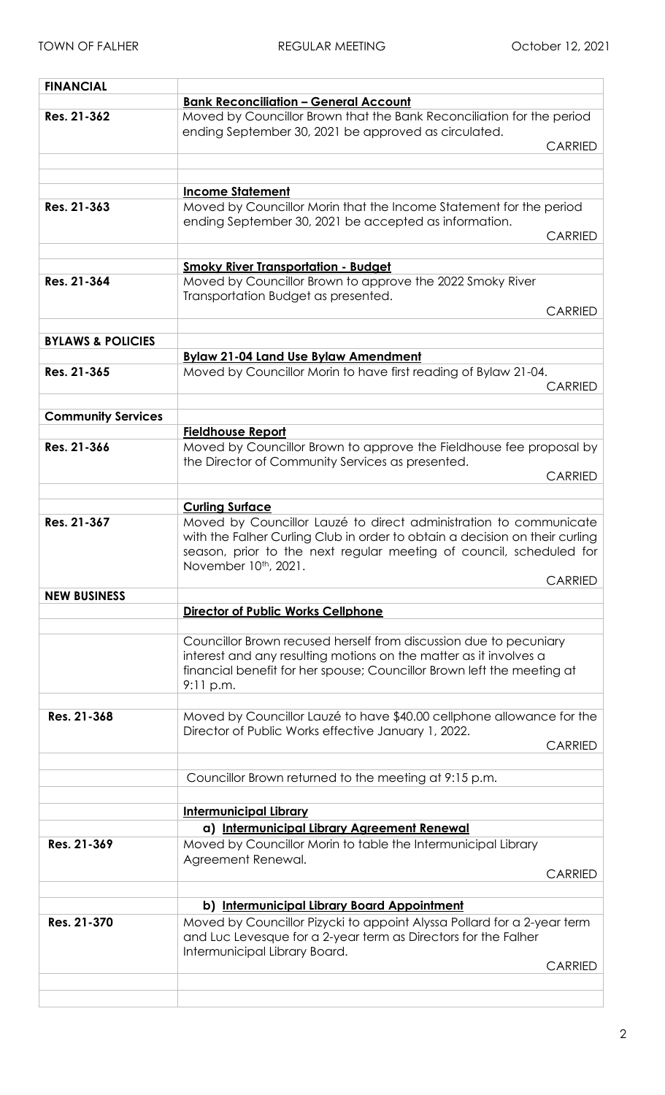| <b>FINANCIAL</b>             |                                                                                                                                                    |                |
|------------------------------|----------------------------------------------------------------------------------------------------------------------------------------------------|----------------|
|                              | <b>Bank Reconciliation - General Account</b>                                                                                                       |                |
| Res. 21-362                  | Moved by Councillor Brown that the Bank Reconciliation for the period                                                                              |                |
|                              | ending September 30, 2021 be approved as circulated.                                                                                               |                |
|                              |                                                                                                                                                    | <b>CARRIED</b> |
|                              |                                                                                                                                                    |                |
|                              |                                                                                                                                                    |                |
|                              | <b>Income Statement</b>                                                                                                                            |                |
| Res. 21-363                  | Moved by Councillor Morin that the Income Statement for the period                                                                                 |                |
|                              | ending September 30, 2021 be accepted as information.                                                                                              |                |
|                              |                                                                                                                                                    | <b>CARRIED</b> |
|                              |                                                                                                                                                    |                |
|                              | <b>Smoky River Transportation - Budget</b>                                                                                                         |                |
| Res. 21-364                  | Moved by Councillor Brown to approve the 2022 Smoky River                                                                                          |                |
|                              | Transportation Budget as presented.                                                                                                                |                |
|                              |                                                                                                                                                    | <b>CARRIED</b> |
|                              |                                                                                                                                                    |                |
| <b>BYLAWS &amp; POLICIES</b> |                                                                                                                                                    |                |
|                              | <b>Bylaw 21-04 Land Use Bylaw Amendment</b>                                                                                                        |                |
| Res. 21-365                  | Moved by Councillor Morin to have first reading of Bylaw 21-04.                                                                                    |                |
|                              |                                                                                                                                                    | <b>CARRIED</b> |
|                              |                                                                                                                                                    |                |
| <b>Community Services</b>    |                                                                                                                                                    |                |
|                              | <b>Fieldhouse Report</b>                                                                                                                           |                |
| Res. 21-366                  | Moved by Councillor Brown to approve the Fieldhouse fee proposal by                                                                                |                |
|                              | the Director of Community Services as presented.                                                                                                   | <b>CARRIED</b> |
|                              |                                                                                                                                                    |                |
|                              |                                                                                                                                                    |                |
|                              | <b>Curling Surface</b>                                                                                                                             |                |
| Res. 21-367                  | Moved by Councillor Lauzé to direct administration to communicate                                                                                  |                |
|                              | with the Falher Curling Club in order to obtain a decision on their curling<br>season, prior to the next regular meeting of council, scheduled for |                |
|                              | November 10th, 2021.                                                                                                                               |                |
|                              |                                                                                                                                                    | <b>CARRIED</b> |
| <b>NEW BUSINESS</b>          |                                                                                                                                                    |                |
|                              | <b>Director of Public Works Cellphone</b>                                                                                                          |                |
|                              |                                                                                                                                                    |                |
|                              | Councillor Brown recused herself from discussion due to pecuniary                                                                                  |                |
|                              | interest and any resulting motions on the matter as it involves a                                                                                  |                |
|                              | financial benefit for her spouse; Councillor Brown left the meeting at                                                                             |                |
|                              | 9:11 p.m.                                                                                                                                          |                |
|                              |                                                                                                                                                    |                |
| Res. 21-368                  | Moved by Councillor Lauzé to have \$40.00 cellphone allowance for the                                                                              |                |
|                              | Director of Public Works effective January 1, 2022.                                                                                                |                |
|                              |                                                                                                                                                    | <b>CARRIED</b> |
|                              |                                                                                                                                                    |                |
|                              | Councillor Brown returned to the meeting at 9:15 p.m.                                                                                              |                |
|                              |                                                                                                                                                    |                |
|                              | <b>Intermunicipal Library</b>                                                                                                                      |                |
|                              |                                                                                                                                                    |                |
|                              | a) Intermunicipal Library Agreement Renewal                                                                                                        |                |
| Res. 21-369                  | Moved by Councillor Morin to table the Intermunicipal Library                                                                                      |                |
|                              | Agreement Renewal.                                                                                                                                 |                |
|                              |                                                                                                                                                    | <b>CARRIED</b> |
|                              |                                                                                                                                                    |                |
|                              | b) Intermunicipal Library Board Appointment                                                                                                        |                |
| Res. 21-370                  | Moved by Councillor Pizycki to appoint Alyssa Pollard for a 2-year term                                                                            |                |
|                              | and Luc Levesque for a 2-year term as Directors for the Falher                                                                                     |                |
|                              | Intermunicipal Library Board.                                                                                                                      |                |
|                              |                                                                                                                                                    | <b>CARRIED</b> |
|                              |                                                                                                                                                    |                |
|                              |                                                                                                                                                    |                |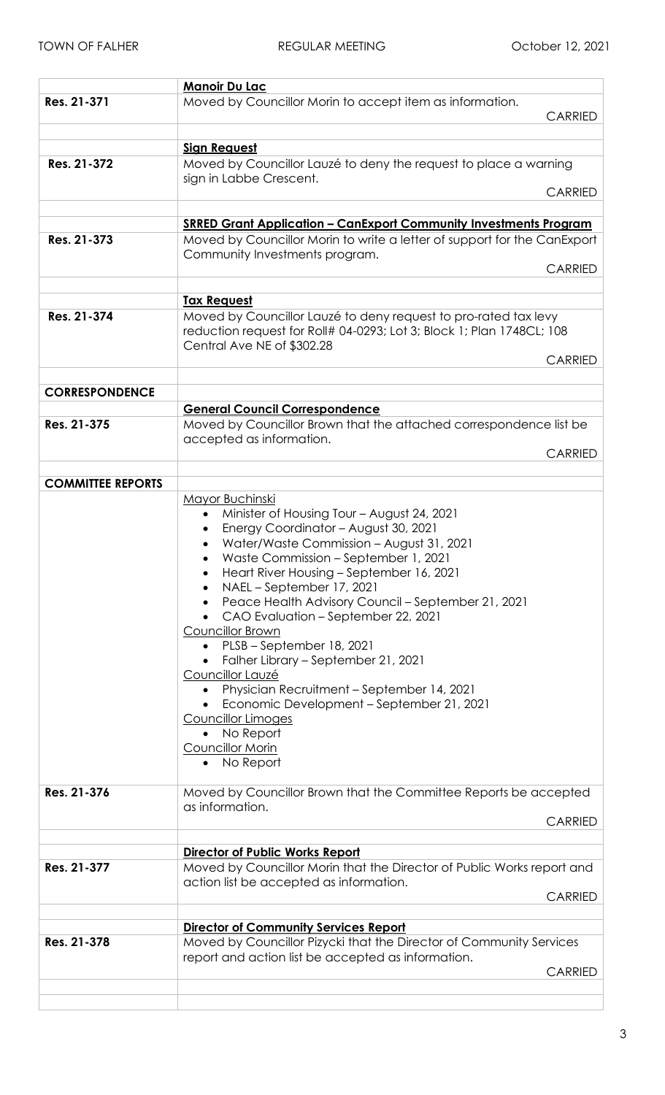|                          | <b>Manoir Du Lac</b>                                                                                       |                |
|--------------------------|------------------------------------------------------------------------------------------------------------|----------------|
| Res. 21-371              | Moved by Councillor Morin to accept item as information.                                                   | <b>CARRIED</b> |
|                          |                                                                                                            |                |
|                          | <b>Sign Request</b>                                                                                        |                |
| Res. 21-372              | Moved by Councillor Lauzé to deny the request to place a warning                                           |                |
|                          | sign in Labbe Crescent.                                                                                    |                |
|                          |                                                                                                            | <b>CARRIED</b> |
|                          |                                                                                                            |                |
| Res. 21-373              | <b>SRRED Grant Application - CanExport Community Investments Program</b>                                   |                |
|                          | Moved by Councillor Morin to write a letter of support for the CanExport<br>Community Investments program. |                |
|                          |                                                                                                            | <b>CARRIED</b> |
|                          |                                                                                                            |                |
|                          | <b>Tax Request</b>                                                                                         |                |
| Res. 21-374              | Moved by Councillor Lauzé to deny request to pro-rated tax levy                                            |                |
|                          | reduction request for Roll# 04-0293; Lot 3; Block 1; Plan 1748CL; 108                                      |                |
|                          | Central Ave NE of \$302.28                                                                                 |                |
|                          |                                                                                                            | <b>CARRIED</b> |
|                          |                                                                                                            |                |
| <b>CORRESPONDENCE</b>    |                                                                                                            |                |
|                          | <b>General Council Correspondence</b>                                                                      |                |
| Res. 21-375              | Moved by Councillor Brown that the attached correspondence list be                                         |                |
|                          | accepted as information.                                                                                   |                |
|                          |                                                                                                            | <b>CARRIED</b> |
|                          |                                                                                                            |                |
| <b>COMMITTEE REPORTS</b> |                                                                                                            |                |
|                          | Mayor Buchinski                                                                                            |                |
|                          | Minister of Housing Tour - August 24, 2021<br>$\bullet$                                                    |                |
|                          | Energy Coordinator - August 30, 2021<br>Water/Waste Commission - August 31, 2021                           |                |
|                          | Waste Commission - September 1, 2021                                                                       |                |
|                          | Heart River Housing - September 16, 2021                                                                   |                |
|                          | NAEL - September 17, 2021                                                                                  |                |
|                          | Peace Health Advisory Council - September 21, 2021                                                         |                |
|                          | CAO Evaluation - September 22, 2021                                                                        |                |
|                          | Councillor Brown                                                                                           |                |
|                          | • PLSB - September 18, 2021                                                                                |                |
|                          | Falher Library – September 21, 2021                                                                        |                |
|                          | Councillor Lauzé                                                                                           |                |
|                          | Physician Recruitment - September 14, 2021                                                                 |                |
|                          | Economic Development - September 21, 2021                                                                  |                |
|                          | Councillor Limoges<br>No Report                                                                            |                |
|                          | Councillor Morin                                                                                           |                |
|                          | No Report                                                                                                  |                |
|                          |                                                                                                            |                |
| Res. 21-376              | Moved by Councillor Brown that the Committee Reports be accepted                                           |                |
|                          | as information.                                                                                            |                |
|                          |                                                                                                            | <b>CARRIED</b> |
|                          |                                                                                                            |                |
|                          | Director of Public Works Report                                                                            |                |
| Res. 21-377              | Moved by Councillor Morin that the Director of Public Works report and                                     |                |
|                          | action list be accepted as information.                                                                    |                |
|                          |                                                                                                            | <b>CARRIED</b> |
|                          | <b>Director of Community Services Report</b>                                                               |                |
| Res. 21-378              | Moved by Councillor Pizycki that the Director of Community Services                                        |                |
|                          | report and action list be accepted as information.                                                         |                |
|                          |                                                                                                            | <b>CARRIED</b> |
|                          |                                                                                                            |                |
|                          |                                                                                                            |                |